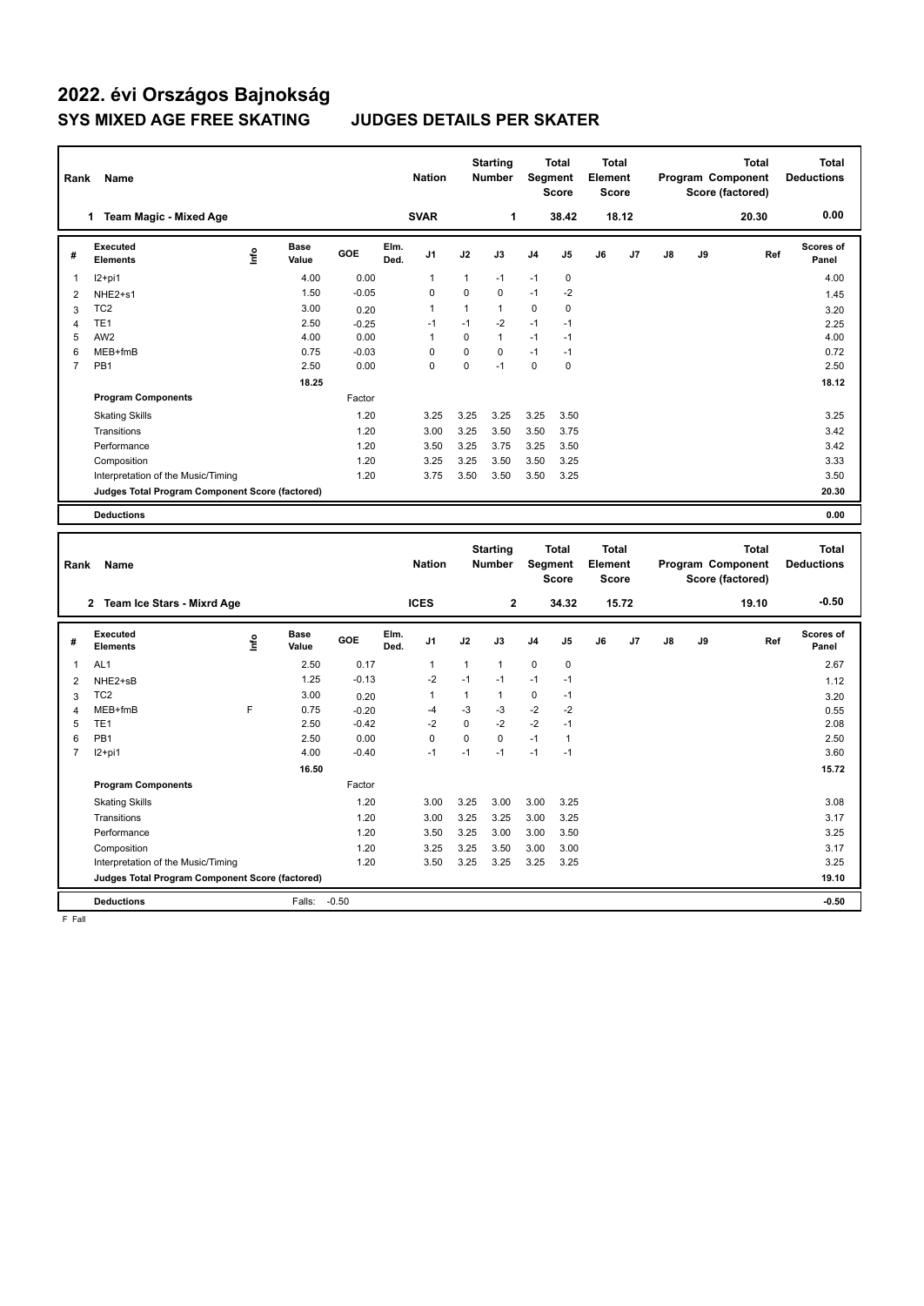# **2022. évi Országos Bajnokság SYS MIXED AGE FREE SKATING JUDGES DETAILS PER SKATER**

| Rank | Name                                            |                              |         | <b>Nation</b>                  |              | <b>Starting</b><br><b>Number</b> |                | <b>Total</b><br>Segment<br><b>Score</b> | <b>Total</b><br>Element<br><b>Score</b> |       |    |    | <b>Total</b><br>Program Component<br>Score (factored) | <b>Total</b><br><b>Deductions</b> |
|------|-------------------------------------------------|------------------------------|---------|--------------------------------|--------------|----------------------------------|----------------|-----------------------------------------|-----------------------------------------|-------|----|----|-------------------------------------------------------|-----------------------------------|
|      | <b>Team Magic - Mixed Age</b><br>1              |                              |         | <b>SVAR</b>                    |              | 1                                |                | 38.42                                   |                                         | 18.12 |    |    | 20.30                                                 | 0.00                              |
| #    | Executed<br><b>Elements</b>                     | <b>Base</b><br>١nf٥<br>Value | GOE     | Elm.<br>J <sub>1</sub><br>Ded. | J2           | J3                               | J <sub>4</sub> | J <sub>5</sub>                          | J6                                      | J7    | J8 | J9 | Ref                                                   | Scores of<br>Panel                |
| 1    | $12+pi1$                                        | 4.00                         | 0.00    | $\mathbf{1}$                   | $\mathbf{1}$ | $-1$                             | $-1$           | 0                                       |                                         |       |    |    |                                                       | 4.00                              |
| 2    | NHE2+s1                                         | 1.50                         | $-0.05$ | $\mathbf 0$                    | $\Omega$     | $\mathbf 0$                      | $-1$           | $-2$                                    |                                         |       |    |    |                                                       | 1.45                              |
| 3    | TC <sub>2</sub>                                 | 3.00                         | 0.20    | -1                             | 1            | $\mathbf{1}$                     | 0              | $\mathbf 0$                             |                                         |       |    |    |                                                       | 3.20                              |
| 4    | TE <sub>1</sub>                                 | 2.50                         | $-0.25$ | $-1$                           | $-1$         | $-2$                             | $-1$           | $-1$                                    |                                         |       |    |    |                                                       | 2.25                              |
| 5    | AW <sub>2</sub>                                 | 4.00                         | 0.00    | -1                             | 0            | $\mathbf{1}$                     | $-1$           | $-1$                                    |                                         |       |    |    |                                                       | 4.00                              |
| 6    | MEB+fmB                                         | 0.75                         | $-0.03$ | $\Omega$                       | $\Omega$     | $\Omega$                         | $-1$           | $-1$                                    |                                         |       |    |    |                                                       | 0.72                              |
| 7    | PB <sub>1</sub>                                 | 2.50                         | 0.00    | $\Omega$                       | $\Omega$     | $-1$                             | $\Omega$       | 0                                       |                                         |       |    |    |                                                       | 2.50                              |
|      |                                                 | 18.25                        |         |                                |              |                                  |                |                                         |                                         |       |    |    |                                                       | 18.12                             |
|      | <b>Program Components</b>                       |                              | Factor  |                                |              |                                  |                |                                         |                                         |       |    |    |                                                       |                                   |
|      | <b>Skating Skills</b>                           |                              | 1.20    | 3.25                           | 3.25         | 3.25                             | 3.25           | 3.50                                    |                                         |       |    |    |                                                       | 3.25                              |
|      | Transitions                                     |                              | 1.20    | 3.00                           | 3.25         | 3.50                             | 3.50           | 3.75                                    |                                         |       |    |    |                                                       | 3.42                              |
|      | Performance                                     |                              | 1.20    | 3.50                           | 3.25         | 3.75                             | 3.25           | 3.50                                    |                                         |       |    |    |                                                       | 3.42                              |
|      | Composition                                     |                              | 1.20    | 3.25                           | 3.25         | 3.50                             | 3.50           | 3.25                                    |                                         |       |    |    |                                                       | 3.33                              |
|      | Interpretation of the Music/Timing              |                              | 1.20    | 3.75                           | 3.50         | 3.50                             | 3.50           | 3.25                                    |                                         |       |    |    |                                                       | 3.50                              |
|      | Judges Total Program Component Score (factored) |                              |         |                                |              |                                  |                |                                         |                                         |       |    |    |                                                       | 20.30                             |
|      | <b>Deductions</b>                               |                              |         |                                |              |                                  |                |                                         |                                         |       |    |    |                                                       | 0.00                              |
|      |                                                 |                              |         |                                |              | <b>Starting</b>                  |                | <b>Total</b>                            | <b>Total</b>                            |       |    |    | <b>Total</b>                                          | Total                             |
| Rank | Name                                            |                              |         | <b>Nation</b>                  |              | <b>Number</b>                    |                | Segment                                 | Element                                 |       |    |    | Program Component                                     | <b>Deductions</b>                 |

| Rank           | Name                                            |      |                      |            |              | <b>Nation</b>  |              | <b>Number</b> |                | Segment<br>Score | Element<br>Score |       |    |    | Program Component<br>Score (factored) | <b>Deductions</b>         |
|----------------|-------------------------------------------------|------|----------------------|------------|--------------|----------------|--------------|---------------|----------------|------------------|------------------|-------|----|----|---------------------------------------|---------------------------|
|                | Team Ice Stars - Mixrd Age<br>$\mathbf{2}$      |      |                      |            |              | <b>ICES</b>    |              | $\mathbf{2}$  |                | 34.32            |                  | 15.72 |    |    | 19.10                                 | $-0.50$                   |
| #              | <b>Executed</b><br><b>Elements</b>              | lnfo | <b>Base</b><br>Value | <b>GOE</b> | Elm.<br>Ded. | J <sub>1</sub> | J2           | J3            | J <sub>4</sub> | J <sub>5</sub>   | J6               | J7    | J8 | J9 | Ref                                   | <b>Scores of</b><br>Panel |
|                | AL <sub>1</sub>                                 |      | 2.50                 | 0.17       |              | 1              | $\mathbf{1}$ | 1             | 0              | $\mathbf 0$      |                  |       |    |    |                                       | 2.67                      |
| $\overline{c}$ | NHE2+sB                                         |      | 1.25                 | $-0.13$    |              | $-2$           | $-1$         | $-1$          | $-1$           | $-1$             |                  |       |    |    |                                       | 1.12                      |
| 3              | TC <sub>2</sub>                                 |      | 3.00                 | 0.20       |              |                | 1            | 1             | 0              | $-1$             |                  |       |    |    |                                       | 3.20                      |
| 4              | MEB+fmB                                         | F    | 0.75                 | $-0.20$    |              | $-4$           | $-3$         | -3            | $-2$           | $-2$             |                  |       |    |    |                                       | 0.55                      |
| 5              | TE1                                             |      | 2.50                 | $-0.42$    |              | $-2$           | 0            | $-2$          | $-2$           | $-1$             |                  |       |    |    |                                       | 2.08                      |
| 6              | PB <sub>1</sub>                                 |      | 2.50                 | 0.00       |              | 0              | $\Omega$     | $\Omega$      | $-1$           | $\mathbf 1$      |                  |       |    |    |                                       | 2.50                      |
| 7              | $12+pi1$                                        |      | 4.00                 | $-0.40$    |              | $-1$           | $-1$         | $-1$          | $-1$           | $-1$             |                  |       |    |    |                                       | 3.60                      |
|                |                                                 |      | 16.50                |            |              |                |              |               |                |                  |                  |       |    |    |                                       | 15.72                     |
|                | <b>Program Components</b>                       |      |                      | Factor     |              |                |              |               |                |                  |                  |       |    |    |                                       |                           |
|                | <b>Skating Skills</b>                           |      |                      | 1.20       |              | 3.00           | 3.25         | 3.00          | 3.00           | 3.25             |                  |       |    |    |                                       | 3.08                      |
|                | Transitions                                     |      |                      | 1.20       |              | 3.00           | 3.25         | 3.25          | 3.00           | 3.25             |                  |       |    |    |                                       | 3.17                      |
|                | Performance                                     |      |                      | 1.20       |              | 3.50           | 3.25         | 3.00          | 3.00           | 3.50             |                  |       |    |    |                                       | 3.25                      |
|                | Composition                                     |      |                      | 1.20       |              | 3.25           | 3.25         | 3.50          | 3.00           | 3.00             |                  |       |    |    |                                       | 3.17                      |
|                | Interpretation of the Music/Timing              |      |                      | 1.20       |              | 3.50           | 3.25         | 3.25          | 3.25           | 3.25             |                  |       |    |    |                                       | 3.25                      |
|                | Judges Total Program Component Score (factored) |      |                      |            |              |                |              |               |                |                  |                  |       |    |    |                                       | 19.10                     |
|                | <b>Deductions</b>                               |      | Falls:               | $-0.50$    |              |                |              |               |                |                  |                  |       |    |    |                                       | $-0.50$                   |

F Fall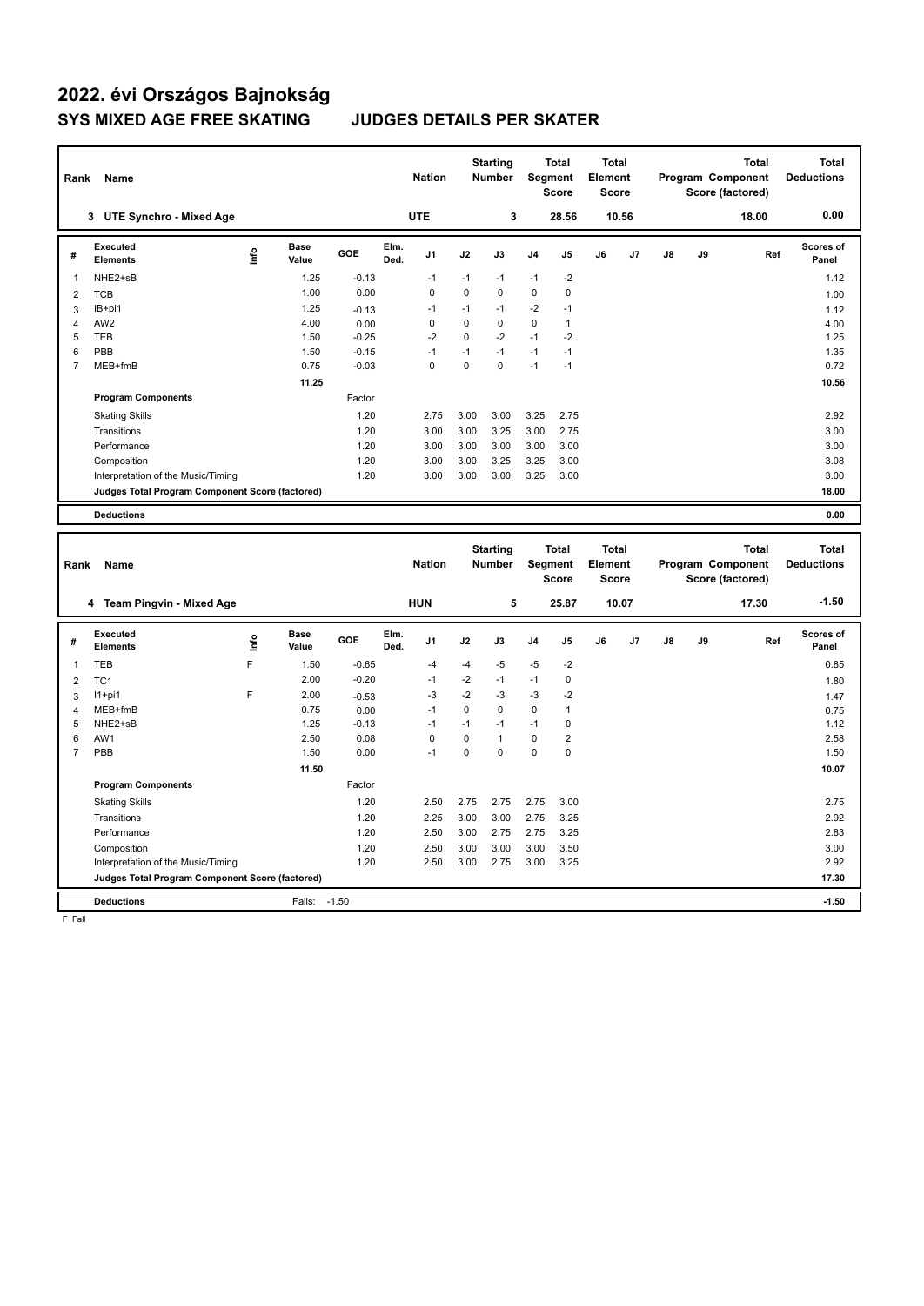# **2022. évi Országos Bajnokság SYS MIXED AGE FREE SKATING JUDGES DETAILS PER SKATER**

| Rank           | Name                                            |                              |         | <b>Nation</b>                  |             | <b>Starting</b><br><b>Number</b> |                | <b>Total</b><br>Segment<br><b>Score</b> | <b>Total</b><br>Element<br><b>Score</b> |       |    |    | <b>Total</b><br>Program Component<br>Score (factored) | <b>Total</b><br><b>Deductions</b> |
|----------------|-------------------------------------------------|------------------------------|---------|--------------------------------|-------------|----------------------------------|----------------|-----------------------------------------|-----------------------------------------|-------|----|----|-------------------------------------------------------|-----------------------------------|
|                | <b>UTE Synchro - Mixed Age</b><br>3             |                              |         | <b>UTE</b>                     |             | 3                                |                | 28.56                                   |                                         | 10.56 |    |    | 18.00                                                 | 0.00                              |
| #              | Executed<br><b>Elements</b>                     | <b>Base</b><br>١nf٥<br>Value | GOE     | Elm.<br>J <sub>1</sub><br>Ded. | J2          | J3                               | J <sub>4</sub> | J <sub>5</sub>                          | J6                                      | J7    | J8 | J9 | Ref                                                   | Scores of<br>Panel                |
| 1              | NHE2+sB                                         | 1.25                         | $-0.13$ | $-1$                           | $-1$        | $-1$                             | $-1$           | $-2$                                    |                                         |       |    |    |                                                       | 1.12                              |
| 2              | <b>TCB</b>                                      | 1.00                         | 0.00    | $\mathbf 0$                    | $\mathbf 0$ | 0                                | 0              | $\mathbf 0$                             |                                         |       |    |    |                                                       | 1.00                              |
| 3              | IB+pi1                                          | 1.25                         | $-0.13$ | $-1$                           | $-1$        | $-1$                             | $-2$           | $-1$                                    |                                         |       |    |    |                                                       | 1.12                              |
| $\overline{4}$ | AW <sub>2</sub>                                 | 4.00                         | 0.00    | 0                              | $\Omega$    | $\mathbf 0$                      | 0              | $\mathbf{1}$                            |                                         |       |    |    |                                                       | 4.00                              |
| 5              | <b>TEB</b>                                      | 1.50                         | $-0.25$ | $-2$                           | 0           | $-2$                             | $-1$           | $-2$                                    |                                         |       |    |    |                                                       | 1.25                              |
| 6              | PBB                                             | 1.50                         | $-0.15$ | $-1$                           | $-1$        | $-1$                             | $-1$           | $-1$                                    |                                         |       |    |    |                                                       | 1.35                              |
| $\overline{7}$ | MEB+fmB                                         | 0.75                         | $-0.03$ | 0                              | $\Omega$    | $\Omega$                         | $-1$           | $-1$                                    |                                         |       |    |    |                                                       | 0.72                              |
|                |                                                 | 11.25                        |         |                                |             |                                  |                |                                         |                                         |       |    |    |                                                       | 10.56                             |
|                | <b>Program Components</b>                       |                              | Factor  |                                |             |                                  |                |                                         |                                         |       |    |    |                                                       |                                   |
|                | <b>Skating Skills</b>                           |                              | 1.20    | 2.75                           | 3.00        | 3.00                             | 3.25           | 2.75                                    |                                         |       |    |    |                                                       | 2.92                              |
|                | Transitions                                     |                              | 1.20    | 3.00                           | 3.00        | 3.25                             | 3.00           | 2.75                                    |                                         |       |    |    |                                                       | 3.00                              |
|                | Performance                                     |                              | 1.20    | 3.00                           | 3.00        | 3.00                             | 3.00           | 3.00                                    |                                         |       |    |    |                                                       | 3.00                              |
|                | Composition                                     |                              | 1.20    | 3.00                           | 3.00        | 3.25                             | 3.25           | 3.00                                    |                                         |       |    |    |                                                       | 3.08                              |
|                | Interpretation of the Music/Timing              |                              | 1.20    | 3.00                           | 3.00        | 3.00                             | 3.25           | 3.00                                    |                                         |       |    |    |                                                       | 3.00                              |
|                | Judges Total Program Component Score (factored) |                              |         |                                |             |                                  |                |                                         |                                         |       |    |    |                                                       | 18.00                             |
|                | <b>Deductions</b>                               |                              |         |                                |             |                                  |                |                                         |                                         |       |    |    |                                                       | 0.00                              |
|                |                                                 |                              |         |                                |             |                                  |                |                                         |                                         |       |    |    |                                                       |                                   |
| Rank           | Name                                            |                              |         | <b>Nation</b>                  |             | <b>Starting</b><br><b>Number</b> | Segment        | <b>Total</b>                            | <b>Total</b><br>Element                 |       |    |    | <b>Total</b><br>Program Component                     | <b>Total</b><br><b>Deductions</b> |

| Rank | Name                                            |      |                      |            |              | <b>Nation</b>  |      | <b>Number</b> |                | Segment<br><b>Score</b> | Element<br><b>Score</b> |       |    |    | Program Component<br>Score (factored) | <b>Deductions</b>         |
|------|-------------------------------------------------|------|----------------------|------------|--------------|----------------|------|---------------|----------------|-------------------------|-------------------------|-------|----|----|---------------------------------------|---------------------------|
|      | <b>Team Pingvin - Mixed Age</b><br>4            |      |                      |            |              | <b>HUN</b>     |      | 5             |                | 25.87                   |                         | 10.07 |    |    | 17.30                                 | $-1.50$                   |
| #    | <b>Executed</b><br><b>Elements</b>              | lnfo | <b>Base</b><br>Value | <b>GOE</b> | Elm.<br>Ded. | J <sub>1</sub> | J2   | J3            | J <sub>4</sub> | J <sub>5</sub>          | J6                      | J7    | J8 | J9 | Ref                                   | <b>Scores of</b><br>Panel |
|      | TEB                                             | F    | 1.50                 | $-0.65$    |              | $-4$           | -4   | $-5$          | $-5$           | $-2$                    |                         |       |    |    |                                       | 0.85                      |
| 2    | TC <sub>1</sub>                                 |      | 2.00                 | $-0.20$    |              | $-1$           | $-2$ | $-1$          | $-1$           | 0                       |                         |       |    |    |                                       | 1.80                      |
| 3    | $11+pi1$                                        | F    | 2.00                 | $-0.53$    |              | $-3$           | $-2$ | -3            | $-3$           | $-2$                    |                         |       |    |    |                                       | 1.47                      |
| 4    | $MEB+fmB$                                       |      | 0.75                 | 0.00       |              | $-1$           | 0    | 0             | 0              | 1                       |                         |       |    |    |                                       | 0.75                      |
| 5    | NHE2+sB                                         |      | 1.25                 | $-0.13$    |              | $-1$           | $-1$ | $-1$          | $-1$           | 0                       |                         |       |    |    |                                       | 1.12                      |
| 6    | AW1                                             |      | 2.50                 | 0.08       |              | 0              | 0    | 1             | 0              | 2                       |                         |       |    |    |                                       | 2.58                      |
|      | PBB                                             |      | 1.50                 | 0.00       |              | $-1$           | 0    | $\mathbf 0$   | $\mathbf 0$    | 0                       |                         |       |    |    |                                       | 1.50                      |
|      |                                                 |      | 11.50                |            |              |                |      |               |                |                         |                         |       |    |    |                                       | 10.07                     |
|      | <b>Program Components</b>                       |      |                      | Factor     |              |                |      |               |                |                         |                         |       |    |    |                                       |                           |
|      | <b>Skating Skills</b>                           |      |                      | 1.20       |              | 2.50           | 2.75 | 2.75          | 2.75           | 3.00                    |                         |       |    |    |                                       | 2.75                      |
|      | Transitions                                     |      |                      | 1.20       |              | 2.25           | 3.00 | 3.00          | 2.75           | 3.25                    |                         |       |    |    |                                       | 2.92                      |
|      | Performance                                     |      |                      | 1.20       |              | 2.50           | 3.00 | 2.75          | 2.75           | 3.25                    |                         |       |    |    |                                       | 2.83                      |
|      | Composition                                     |      |                      | 1.20       |              | 2.50           | 3.00 | 3.00          | 3.00           | 3.50                    |                         |       |    |    |                                       | 3.00                      |
|      | Interpretation of the Music/Timing              |      |                      | 1.20       |              | 2.50           | 3.00 | 2.75          | 3.00           | 3.25                    |                         |       |    |    |                                       | 2.92                      |
|      | Judges Total Program Component Score (factored) |      |                      |            |              |                |      |               |                |                         |                         |       |    |    |                                       | 17.30                     |
|      | <b>Deductions</b>                               |      | Falls:               | $-1.50$    |              |                |      |               |                |                         |                         |       |    |    |                                       | $-1.50$                   |

F Fall